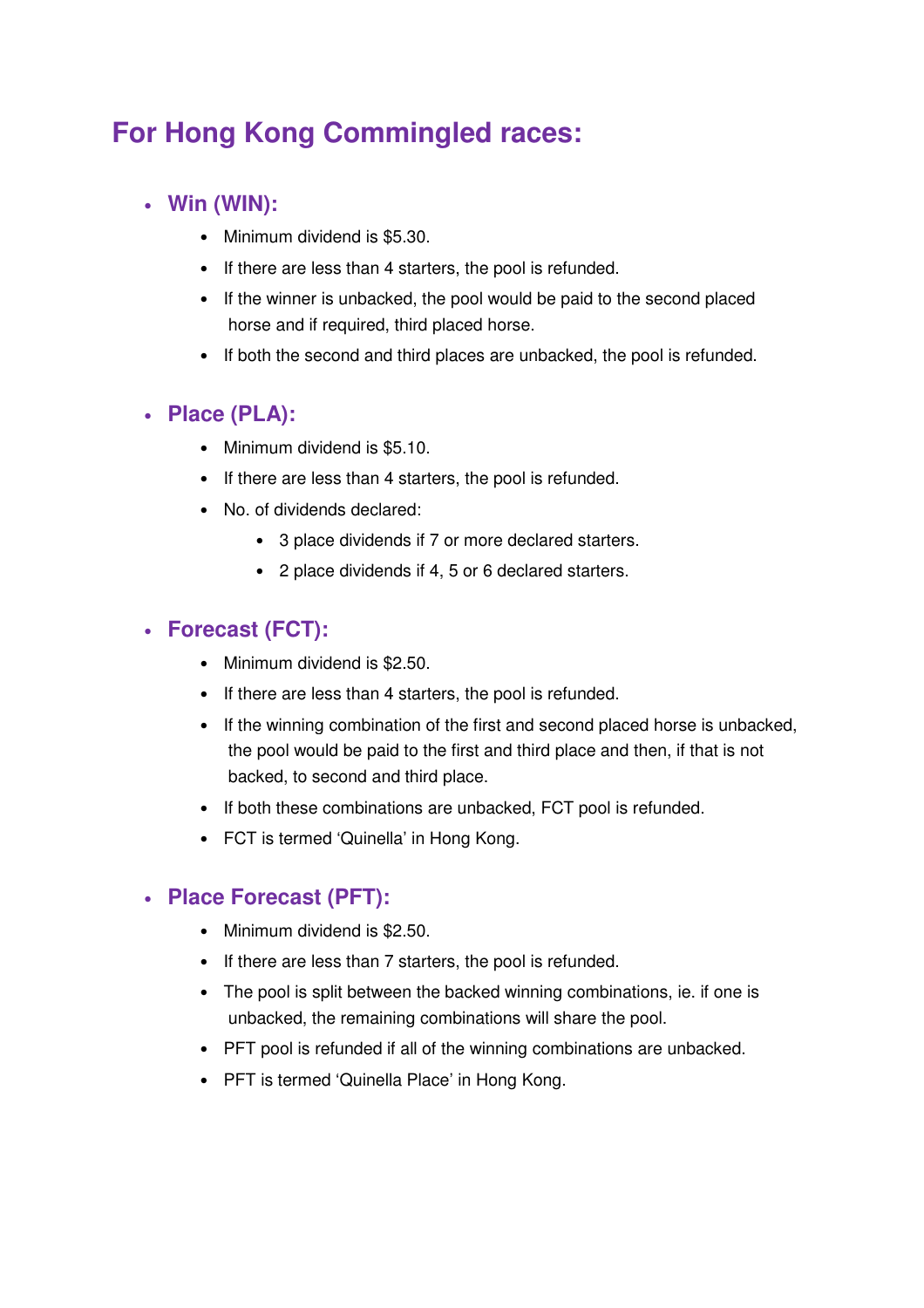# **For Hong Kong Commingled races:**

# • **Win (WIN):**

- Minimum dividend is \$5.30.
- If there are less than 4 starters, the pool is refunded.
- If the winner is unbacked, the pool would be paid to the second placed horse and if required, third placed horse.
- If both the second and third places are unbacked, the pool is refunded.

# • **Place (PLA):**

- Minimum dividend is \$5.10.
- If there are less than 4 starters, the pool is refunded.
- No. of dividends declared:
	- 3 place dividends if 7 or more declared starters.
	- 2 place dividends if 4, 5 or 6 declared starters.

# • **Forecast (FCT):**

- Minimum dividend is \$2.50.
- If there are less than 4 starters, the pool is refunded.
- If the winning combination of the first and second placed horse is unbacked, the pool would be paid to the first and third place and then, if that is not backed, to second and third place.
- If both these combinations are unbacked, FCT pool is refunded.
- FCT is termed 'Quinella' in Hong Kong.

# • **Place Forecast (PFT):**

- Minimum dividend is \$2.50.
- If there are less than 7 starters, the pool is refunded.
- The pool is split between the backed winning combinations, ie. if one is unbacked, the remaining combinations will share the pool.
- PFT pool is refunded if all of the winning combinations are unbacked.
- PFT is termed 'Quinella Place' in Hong Kong.